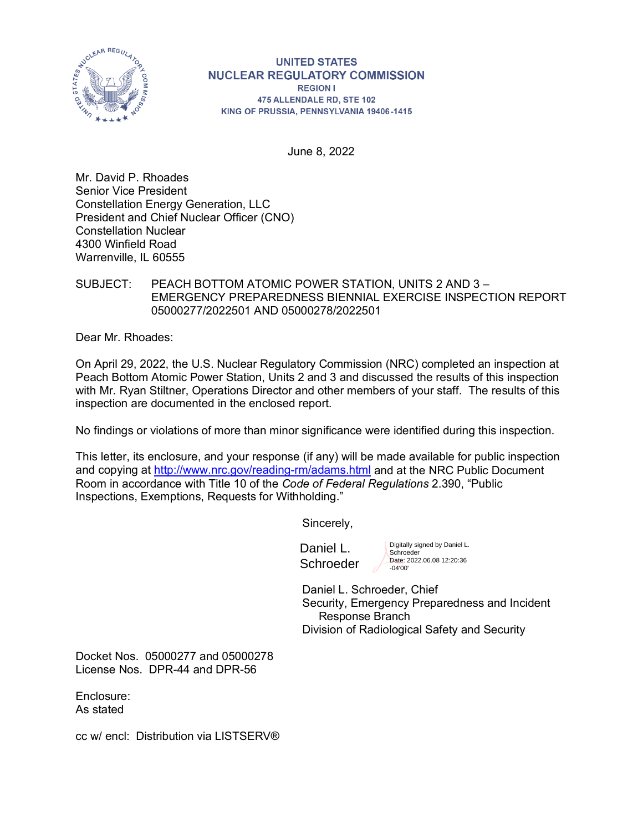

# **UNITED STATES NUCLEAR REGULATORY COMMISSION**

**REGION I** 475 ALLENDALE RD, STE 102 KING OF PRUSSIA, PENNSYLVANIA 19406-1415

June 8, 2022

Mr. David P. Rhoades Senior Vice President Constellation Energy Generation, LLC President and Chief Nuclear Officer (CNO) Constellation Nuclear 4300 Winfield Road Warrenville, IL 60555

## SUBJECT: PEACH BOTTOM ATOMIC POWER STATION, UNITS 2 AND 3 – EMERGENCY PREPAREDNESS BIENNIAL EXERCISE INSPECTION REPORT 05000277/2022501 AND 05000278/2022501

Dear Mr. Rhoades:

On April 29, 2022, the U.S. Nuclear Regulatory Commission (NRC) completed an inspection at Peach Bottom Atomic Power Station, Units 2 and 3 and discussed the results of this inspection with Mr. Ryan Stiltner, Operations Director and other members of your staff. The results of this inspection are documented in the enclosed report.

No findings or violations of more than minor significance were identified during this inspection.

This letter, its enclosure, and your response (if any) will be made available for public inspection and copying at<http://www.nrc.gov/reading-rm/adams.html> and at the NRC Public Document Room in accordance with Title 10 of the *Code of Federal Regulations* 2.390, "Public Inspections, Exemptions, Requests for Withholding."

Sincerely,

Daniel L. **Schroeder**  Digitally signed by Daniel L. Schroeder Date: 2022.06.08 12:20:36 -04'00'

Daniel L. Schroeder, Chief Security, Emergency Preparedness and Incident Response Branch Division of Radiological Safety and Security

Docket Nos. 05000277 and 05000278 License Nos. DPR-44 and DPR-56

Enclosure: As stated

cc w/ encl: Distribution via LISTSERV®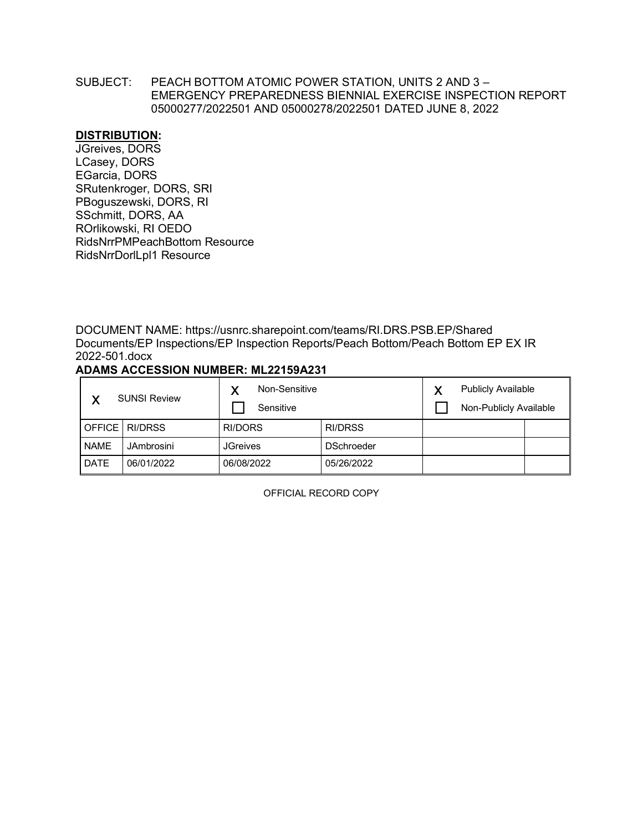#### SUBJECT: PEACH BOTTOM ATOMIC POWER STATION, UNITS 2 AND 3 – EMERGENCY PREPAREDNESS BIENNIAL EXERCISE INSPECTION REPORT 05000277/2022501 AND 05000278/2022501 DATED JUNE 8, 2022

#### **DISTRIBUTION:**

JGreives, DORS LCasey, DORS EGarcia, DORS SRutenkroger, DORS, SRI PBoguszewski, DORS, RI SSchmitt, DORS, AA ROrlikowski, RI OEDO RidsNrrPMPeachBottom Resource RidsNrrDorlLpl1 Resource

DOCUMENT NAME: https://usnrc.sharepoint.com/teams/RI.DRS.PSB.EP/Shared Documents/EP Inspections/EP Inspection Reports/Peach Bottom/Peach Bottom EP EX IR 2022-501.docx

## **ADAMS ACCESSION NUMBER: ML22159A231**

| v           | <b>SUNSI Review</b> | Non-Sensitive<br>Sensitive |                   | ν | <b>Publicly Available</b><br>Non-Publicly Available |  |
|-------------|---------------------|----------------------------|-------------------|---|-----------------------------------------------------|--|
|             | OFFICE RI/DRSS      | RI/DORS                    | RI/DRSS           |   |                                                     |  |
| <b>NAME</b> | JAmbrosini          | <b>JGreives</b>            | <b>DSchroeder</b> |   |                                                     |  |
| <b>DATE</b> | 06/01/2022          | 06/08/2022                 | 05/26/2022        |   |                                                     |  |

OFFICIAL RECORD COPY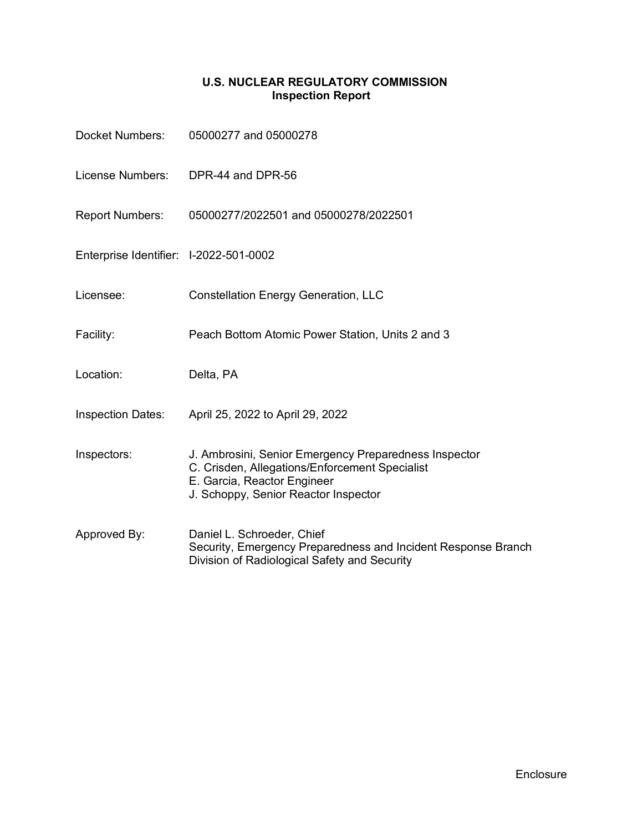## **U.S. NUCLEAR REGULATORY COMMISSION Inspection Report**

| Docket Numbers:                        | 05000277 and 05000278                                                                                                                                                          |
|----------------------------------------|--------------------------------------------------------------------------------------------------------------------------------------------------------------------------------|
| License Numbers:                       | DPR-44 and DPR-56                                                                                                                                                              |
| Report Numbers:                        | 05000277/2022501 and 05000278/2022501                                                                                                                                          |
| Enterprise Identifier: I-2022-501-0002 |                                                                                                                                                                                |
| Licensee:                              | <b>Constellation Energy Generation, LLC</b>                                                                                                                                    |
| Facility:                              | Peach Bottom Atomic Power Station, Units 2 and 3                                                                                                                               |
| Location:                              | Delta, PA                                                                                                                                                                      |
| <b>Inspection Dates:</b>               | April 25, 2022 to April 29, 2022                                                                                                                                               |
| Inspectors:                            | J. Ambrosini, Senior Emergency Preparedness Inspector<br>C. Crisden, Allegations/Enforcement Specialist<br>E. Garcia, Reactor Engineer<br>J. Schoppy, Senior Reactor Inspector |
| Approved By:                           | Daniel L. Schroeder, Chief<br>Security, Emergency Preparedness and Incident Response Branch<br>Division of Radiological Safety and Security                                    |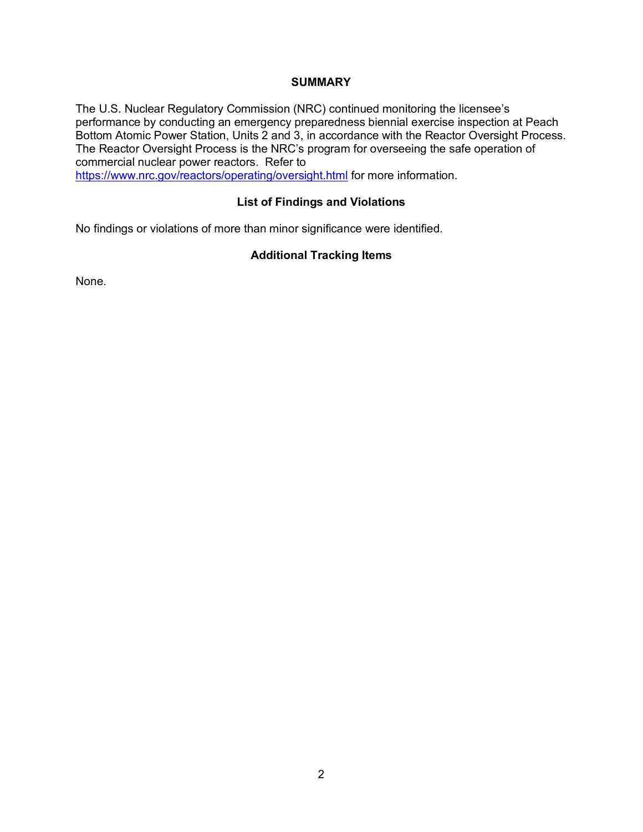## **SUMMARY**

The U.S. Nuclear Regulatory Commission (NRC) continued monitoring the licensee's performance by conducting an emergency preparedness biennial exercise inspection at Peach Bottom Atomic Power Station, Units 2 and 3, in accordance with the Reactor Oversight Process. The Reactor Oversight Process is the NRC's program for overseeing the safe operation of commercial nuclear power reactors. Refer to <https://www.nrc.gov/reactors/operating/oversight.html> for more information.

## **List of Findings and Violations**

No findings or violations of more than minor significance were identified.

## **Additional Tracking Items**

None.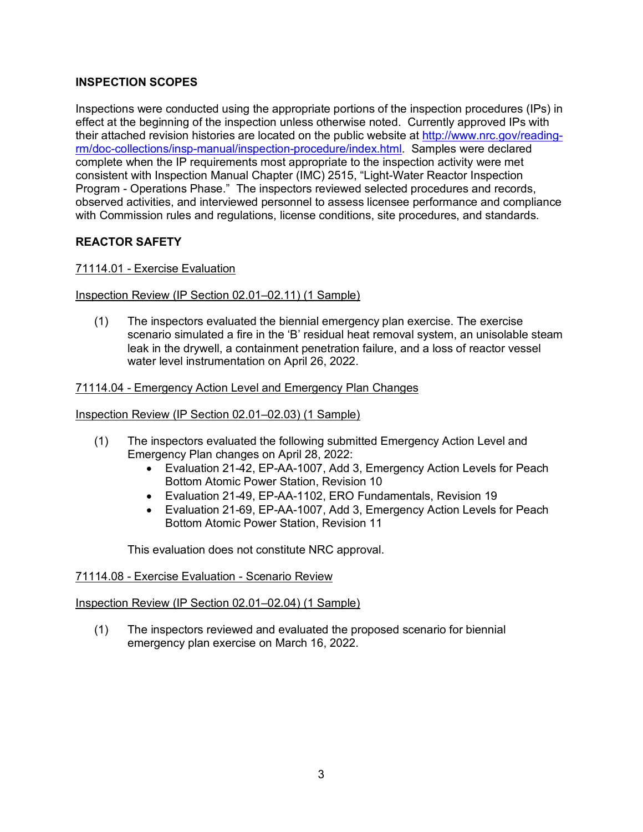# **INSPECTION SCOPES**

Inspections were conducted using the appropriate portions of the inspection procedures (IPs) in effect at the beginning of the inspection unless otherwise noted. Currently approved IPs with their attached revision histories are located on the public website at [http://www.nrc.gov/reading](http://www.nrc.gov/reading-rm/doc-collections/insp-manual/inspection-procedure/index.html)[rm/doc-collections/insp-manual/inspection-procedure/index.html.](http://www.nrc.gov/reading-rm/doc-collections/insp-manual/inspection-procedure/index.html) Samples were declared complete when the IP requirements most appropriate to the inspection activity were met consistent with Inspection Manual Chapter (IMC) 2515, "Light-Water Reactor Inspection Program - Operations Phase." The inspectors reviewed selected procedures and records, observed activities, and interviewed personnel to assess licensee performance and compliance with Commission rules and regulations, license conditions, site procedures, and standards.

# **REACTOR SAFETY**

# 71114.01 - Exercise Evaluation

## Inspection Review (IP Section 02.01–02.11) (1 Sample)

(1) The inspectors evaluated the biennial emergency plan exercise. The exercise scenario simulated a fire in the 'B' residual heat removal system, an unisolable steam leak in the drywell, a containment penetration failure, and a loss of reactor vessel water level instrumentation on April 26, 2022.

## 71114.04 - Emergency Action Level and Emergency Plan Changes

## Inspection Review (IP Section 02.01–02.03) (1 Sample)

- (1) The inspectors evaluated the following submitted Emergency Action Level and Emergency Plan changes on April 28, 2022:
	- Evaluation 21-42, EP-AA-1007, Add 3, Emergency Action Levels for Peach Bottom Atomic Power Station, Revision 10
	- Evaluation 21-49, EP-AA-1102, ERO Fundamentals, Revision 19
	- Evaluation 21-69, EP-AA-1007, Add 3, Emergency Action Levels for Peach Bottom Atomic Power Station, Revision 11

This evaluation does not constitute NRC approval.

#### 71114.08 - Exercise Evaluation - Scenario Review

#### Inspection Review (IP Section 02.01–02.04) (1 Sample)

(1) The inspectors reviewed and evaluated the proposed scenario for biennial emergency plan exercise on March 16, 2022.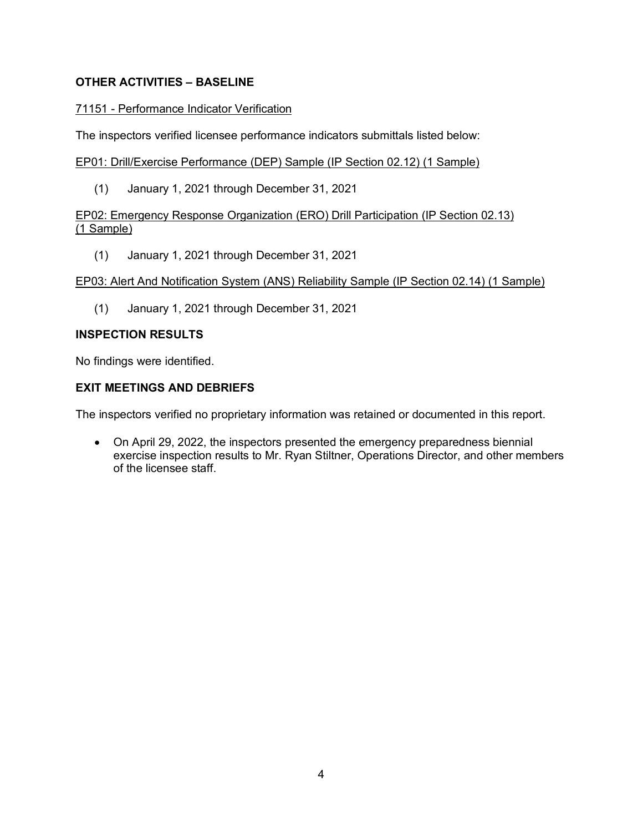# **OTHER ACTIVITIES – BASELINE**

#### 71151 - Performance Indicator Verification

The inspectors verified licensee performance indicators submittals listed below:

EP01: Drill/Exercise Performance (DEP) Sample (IP Section 02.12) (1 Sample)

(1) January 1, 2021 through December 31, 2021

## EP02: Emergency Response Organization (ERO) Drill Participation (IP Section 02.13) (1 Sample)

(1) January 1, 2021 through December 31, 2021

#### EP03: Alert And Notification System (ANS) Reliability Sample (IP Section 02.14) (1 Sample)

(1) January 1, 2021 through December 31, 2021

#### **INSPECTION RESULTS**

No findings were identified.

# **EXIT MEETINGS AND DEBRIEFS**

The inspectors verified no proprietary information was retained or documented in this report.

• On April 29, 2022, the inspectors presented the emergency preparedness biennial exercise inspection results to Mr. Ryan Stiltner, Operations Director, and other members of the licensee staff.